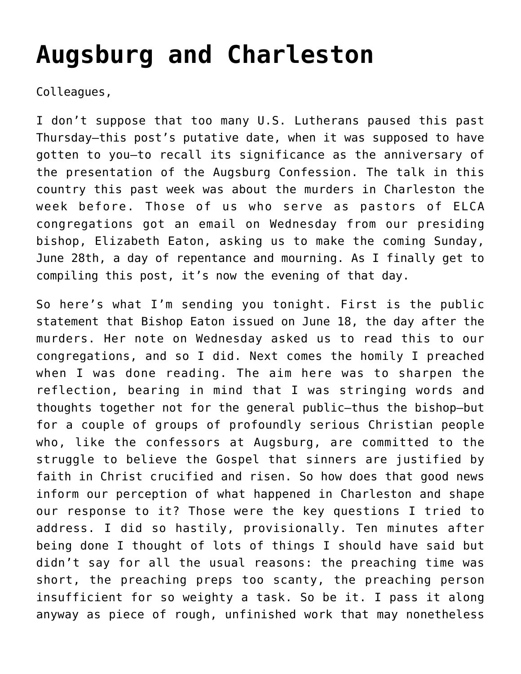## **[Augsburg and Charleston](https://crossings.org/augsburg-and-charleston/)**

Colleagues,

I don't suppose that too many U.S. Lutherans paused this past Thursday—this post's putative date, when it was supposed to have gotten to you—to recall its significance as the anniversary of the presentation of the Augsburg Confession. The talk in this country this past week was about the murders in Charleston the week before. Those of us who serve as pastors of ELCA congregations got an email on Wednesday from our presiding bishop, Elizabeth Eaton, asking us to make the coming Sunday, June 28th, a day of repentance and mourning. As I finally get to compiling this post, it's now the evening of that day.

So here's what I'm sending you tonight. First is the public statement that Bishop Eaton issued on June 18, the day after the murders. Her note on Wednesday asked us to read this to our congregations, and so I did. Next comes the homily I preached when I was done reading. The aim here was to sharpen the reflection, bearing in mind that I was stringing words and thoughts together not for the general public—thus the bishop—but for a couple of groups of profoundly serious Christian people who, like the confessors at Augsburg, are committed to the struggle to believe the Gospel that sinners are justified by faith in Christ crucified and risen. So how does that good news inform our perception of what happened in Charleston and shape our response to it? Those were the key questions I tried to address. I did so hastily, provisionally. Ten minutes after being done I thought of lots of things I should have said but didn't say for all the usual reasons: the preaching time was short, the preaching preps too scanty, the preaching person insufficient for so weighty a task. So be it. I pass it along anyway as piece of rough, unfinished work that may nonetheless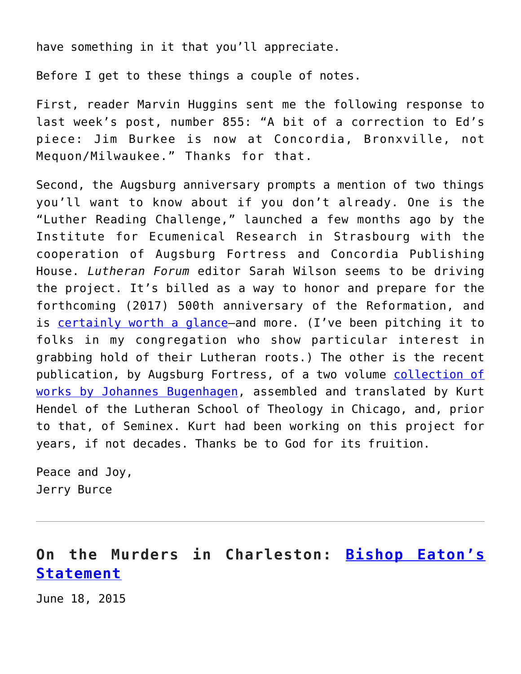have something in it that you'll appreciate.

Before I get to these things a couple of notes.

First, reader Marvin Huggins sent me the following response to last week's post, number 855: "A bit of a correction to Ed's piece: Jim Burkee is now at Concordia, Bronxville, not Mequon/Milwaukee." Thanks for that.

Second, the Augsburg anniversary prompts a mention of two things you'll want to know about if you don't already. One is the "Luther Reading Challenge," launched a few months ago by the Institute for Ecumenical Research in Strasbourg with the cooperation of Augsburg Fortress and Concordia Publishing House. *Lutheran Forum* editor Sarah Wilson seems to be driving the project. It's billed as a way to honor and prepare for the forthcoming (2017) 500th anniversary of the Reformation, and is [certainly worth a glance](https://www.lutherreadingchallenge.org/)—and more. (I've been pitching it to folks in my congregation who show particular interest in grabbing hold of their Lutheran roots.) The other is the recent publication, by Augsburg Fortress, of a two volume [collection of](http://www.amazon.com/Johannes-Bugenhagen-Selected-Writings-II/dp/1451465556/ref=sr_1_1?ie=UTF8&qid=1435551541&sr=8-1&keywords=bugenhagen) [works by Johannes Bugenhagen](http://www.amazon.com/Johannes-Bugenhagen-Selected-Writings-II/dp/1451465556/ref=sr_1_1?ie=UTF8&qid=1435551541&sr=8-1&keywords=bugenhagen), assembled and translated by Kurt Hendel of the Lutheran School of Theology in Chicago, and, prior to that, of Seminex. Kurt had been working on this project for years, if not decades. Thanks be to God for its fruition.

Peace and Joy, Jerry Burce

## **On the Murders in Charleston: [Bishop Eaton's](http://download.elca.org/ELCA%20Resource%20Repository/long_season_of_disquiet_letter.pdf) [Statement](http://download.elca.org/ELCA%20Resource%20Repository/long_season_of_disquiet_letter.pdf)**

June 18, 2015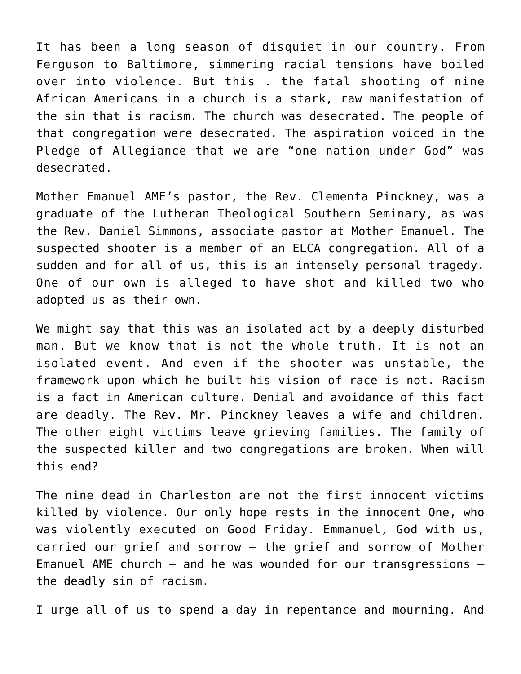It has been a long season of disquiet in our country. From Ferguson to Baltimore, simmering racial tensions have boiled over into violence. But this . the fatal shooting of nine African Americans in a church is a stark, raw manifestation of the sin that is racism. The church was desecrated. The people of that congregation were desecrated. The aspiration voiced in the Pledge of Allegiance that we are "one nation under God" was desecrated.

Mother Emanuel AME's pastor, the Rev. Clementa Pinckney, was a graduate of the Lutheran Theological Southern Seminary, as was the Rev. Daniel Simmons, associate pastor at Mother Emanuel. The suspected shooter is a member of an ELCA congregation. All of a sudden and for all of us, this is an intensely personal tragedy. One of our own is alleged to have shot and killed two who adopted us as their own.

We might say that this was an isolated act by a deeply disturbed man. But we know that is not the whole truth. It is not an isolated event. And even if the shooter was unstable, the framework upon which he built his vision of race is not. Racism is a fact in American culture. Denial and avoidance of this fact are deadly. The Rev. Mr. Pinckney leaves a wife and children. The other eight victims leave grieving families. The family of the suspected killer and two congregations are broken. When will this end?

The nine dead in Charleston are not the first innocent victims killed by violence. Our only hope rests in the innocent One, who was violently executed on Good Friday. Emmanuel, God with us, carried our grief and sorrow – the grief and sorrow of Mother Emanuel AME church – and he was wounded for our transgressions – the deadly sin of racism.

I urge all of us to spend a day in repentance and mourning. And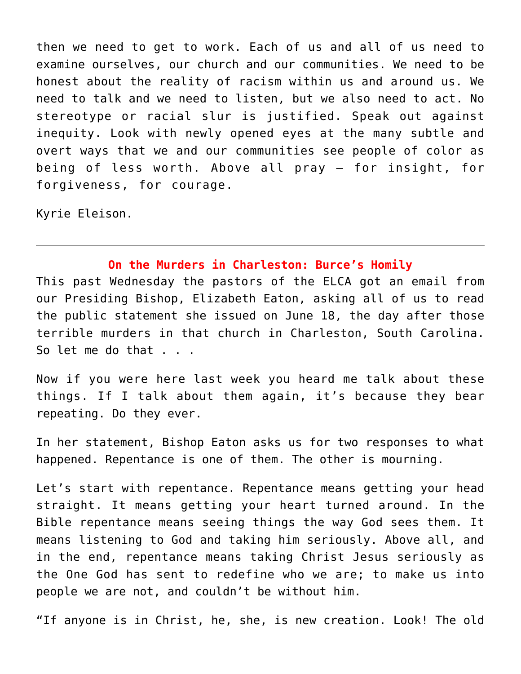then we need to get to work. Each of us and all of us need to examine ourselves, our church and our communities. We need to be honest about the reality of racism within us and around us. We need to talk and we need to listen, but we also need to act. No stereotype or racial slur is justified. Speak out against inequity. Look with newly opened eyes at the many subtle and overt ways that we and our communities see people of color as being of less worth. Above all pray – for insight, for forgiveness, for courage.

Kyrie Eleison.

## **On the Murders in Charleston: Burce's Homily**

This past Wednesday the pastors of the ELCA got an email from our Presiding Bishop, Elizabeth Eaton, asking all of us to read the public statement she issued on June 18, the day after those terrible murders in that church in Charleston, South Carolina. So let me do that . . .

Now if you were here last week you heard me talk about these things. If I talk about them again, it's because they bear repeating. Do they ever.

In her statement, Bishop Eaton asks us for two responses to what happened. Repentance is one of them. The other is mourning.

Let's start with repentance. Repentance means getting your head straight. It means getting your heart turned around. In the Bible repentance means seeing things the way God sees them. It means listening to God and taking him seriously. Above all, and in the end, repentance means taking Christ Jesus seriously as the One God has sent to redefine who we are; to make us into people we are not, and couldn't be without him.

"If anyone is in Christ, he, she, is new creation. Look! The old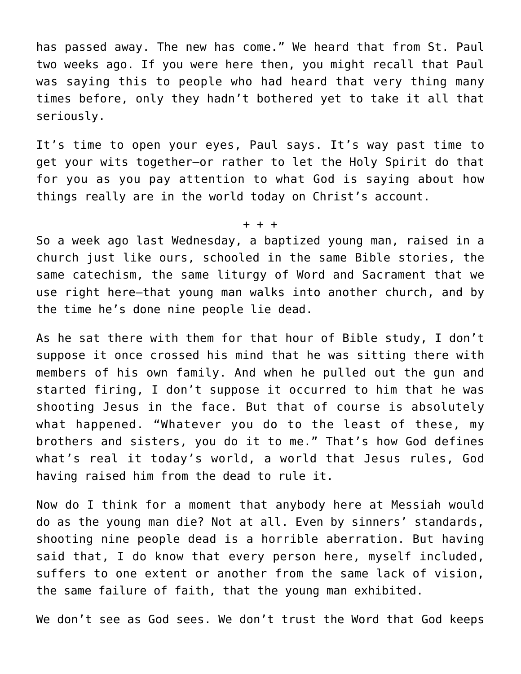has passed away. The new has come." We heard that from St. Paul two weeks ago. If you were here then, you might recall that Paul was saying this to people who had heard that very thing many times before, only they hadn't bothered yet to take it all that seriously.

It's time to open your eyes, Paul says. It's way past time to get your wits together—or rather to let the Holy Spirit do that for you as you pay attention to what God is saying about how things really are in the world today on Christ's account.

So a week ago last Wednesday, a baptized young man, raised in a church just like ours, schooled in the same Bible stories, the same catechism, the same liturgy of Word and Sacrament that we use right here—that young man walks into another church, and by the time he's done nine people lie dead.

+ + +

As he sat there with them for that hour of Bible study, I don't suppose it once crossed his mind that he was sitting there with members of his own family. And when he pulled out the gun and started firing, I don't suppose it occurred to him that he was shooting Jesus in the face. But that of course is absolutely what happened. "Whatever you do to the least of these, my brothers and sisters, you do it to me." That's how God defines what's real it today's world, a world that Jesus rules, God having raised him from the dead to rule it.

Now do I think for a moment that anybody here at Messiah would do as the young man die? Not at all. Even by sinners' standards, shooting nine people dead is a horrible aberration. But having said that, I do know that every person here, myself included, suffers to one extent or another from the same lack of vision, the same failure of faith, that the young man exhibited.

We don't see as God sees. We don't trust the Word that God keeps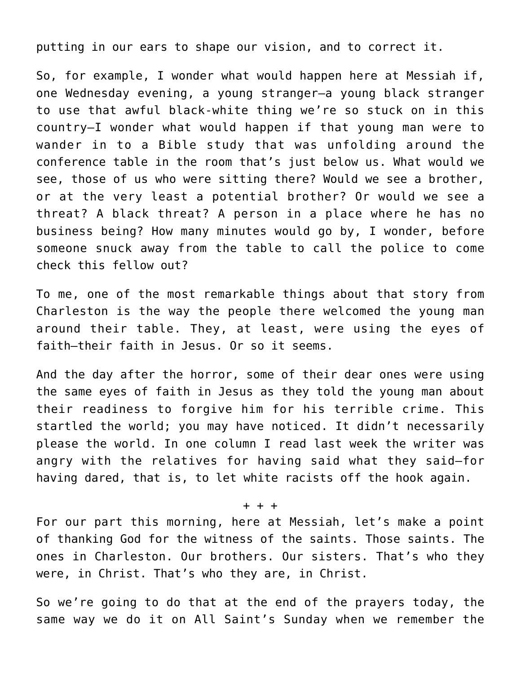putting in our ears to shape our vision, and to correct it.

So, for example, I wonder what would happen here at Messiah if, one Wednesday evening, a young stranger—a young black stranger to use that awful black-white thing we're so stuck on in this country—I wonder what would happen if that young man were to wander in to a Bible study that was unfolding around the conference table in the room that's just below us. What would we see, those of us who were sitting there? Would we see a brother, or at the very least a potential brother? Or would we see a threat? A black threat? A person in a place where he has no business being? How many minutes would go by, I wonder, before someone snuck away from the table to call the police to come check this fellow out?

To me, one of the most remarkable things about that story from Charleston is the way the people there welcomed the young man around their table. They, at least, were using the eyes of faith—their faith in Jesus. Or so it seems.

And the day after the horror, some of their dear ones were using the same eyes of faith in Jesus as they told the young man about their readiness to forgive him for his terrible crime. This startled the world; you may have noticed. It didn't necessarily please the world. In one column I read last week the writer was angry with the relatives for having said what they said—for having dared, that is, to let white racists off the hook again.

+ + +

For our part this morning, here at Messiah, let's make a point of thanking God for the witness of the saints. Those saints. The ones in Charleston. Our brothers. Our sisters. That's who they were, in Christ. That's who they are, in Christ.

So we're going to do that at the end of the prayers today, the same way we do it on All Saint's Sunday when we remember the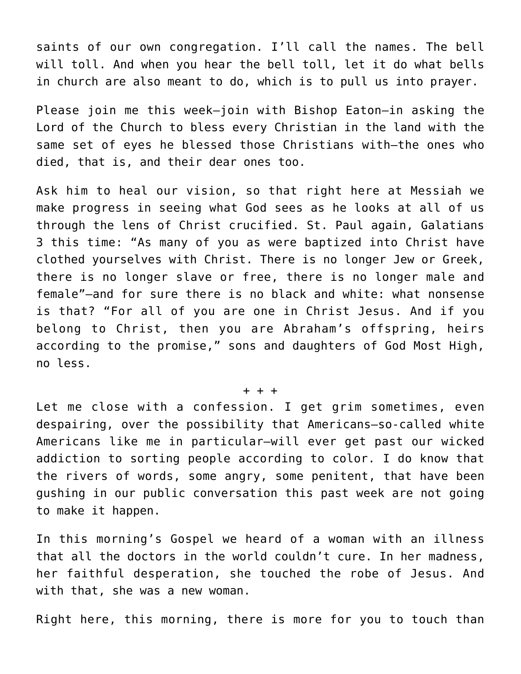saints of our own congregation. I'll call the names. The bell will toll. And when you hear the bell toll, let it do what bells in church are also meant to do, which is to pull us into prayer.

Please join me this week—join with Bishop Eaton—in asking the Lord of the Church to bless every Christian in the land with the same set of eyes he blessed those Christians with—the ones who died, that is, and their dear ones too.

Ask him to heal our vision, so that right here at Messiah we make progress in seeing what God sees as he looks at all of us through the lens of Christ crucified. St. Paul again, Galatians 3 this time: "As many of you as were baptized into Christ have clothed yourselves with Christ. There is no longer Jew or Greek, there is no longer slave or free, there is no longer male and female"—and for sure there is no black and white: what nonsense is that? "For all of you are one in Christ Jesus. And if you belong to Christ, then you are Abraham's offspring, heirs according to the promise," sons and daughters of God Most High, no less.

## + + +

Let me close with a confession. I get grim sometimes, even despairing, over the possibility that Americans—so-called white Americans like me in particular—will ever get past our wicked addiction to sorting people according to color. I do know that the rivers of words, some angry, some penitent, that have been gushing in our public conversation this past week are not going to make it happen.

In this morning's Gospel we heard of a woman with an illness that all the doctors in the world couldn't cure. In her madness, her faithful desperation, she touched the robe of Jesus. And with that, she was a new woman.

Right here, this morning, there is more for you to touch than